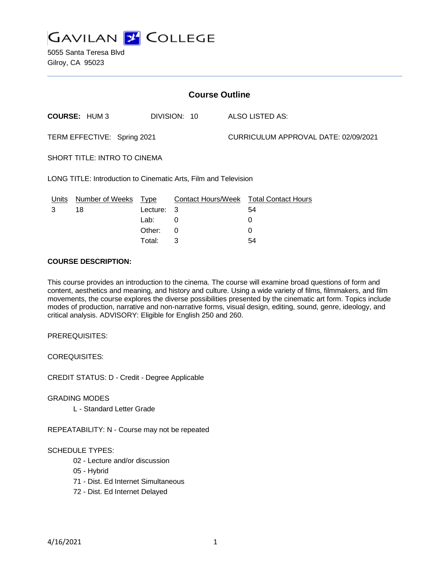

5055 Santa Teresa Blvd Gilroy, CA 95023

| <b>Course Outline</b>                                           |                      |          |              |                                      |                                        |
|-----------------------------------------------------------------|----------------------|----------|--------------|--------------------------------------|----------------------------------------|
|                                                                 | <b>COURSE: HUM3</b>  |          | DIVISION: 10 |                                      | ALSO LISTED AS:                        |
| TERM EFFECTIVE: Spring 2021                                     |                      |          |              | CURRICULUM APPROVAL DATE: 02/09/2021 |                                        |
| <b>SHORT TITLE: INTRO TO CINEMA</b>                             |                      |          |              |                                      |                                        |
| LONG TITLE: Introduction to Cinematic Arts, Film and Television |                      |          |              |                                      |                                        |
| <u>Units</u>                                                    | Number of Weeks Type |          |              |                                      | Contact Hours/Week Total Contact Hours |
| 3                                                               | 18                   | Lecture: | - 3          |                                      | 54                                     |
|                                                                 |                      | Lab:     | 0            |                                      | 0                                      |
|                                                                 |                      | Other:   | $\Omega$     |                                      | $\Omega$                               |
|                                                                 |                      | Total:   | 3            |                                      | 54                                     |

#### **COURSE DESCRIPTION:**

This course provides an introduction to the cinema. The course will examine broad questions of form and content, aesthetics and meaning, and history and culture. Using a wide variety of films, filmmakers, and film movements, the course explores the diverse possibilities presented by the cinematic art form. Topics include modes of production, narrative and non-narrative forms, visual design, editing, sound, genre, ideology, and critical analysis. ADVISORY: Eligible for English 250 and 260.

PREREQUISITES:

COREQUISITES:

CREDIT STATUS: D - Credit - Degree Applicable

GRADING MODES

L - Standard Letter Grade

REPEATABILITY: N - Course may not be repeated

### SCHEDULE TYPES:

- 02 Lecture and/or discussion
- 05 Hybrid
- 71 Dist. Ed Internet Simultaneous
- 72 Dist. Ed Internet Delayed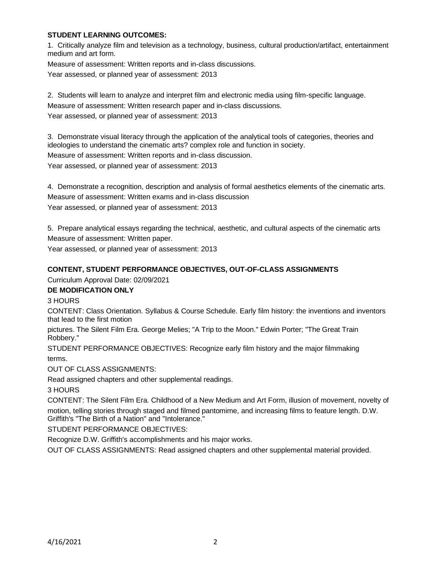# **STUDENT LEARNING OUTCOMES:**

1. Critically analyze film and television as a technology, business, cultural production/artifact, entertainment medium and art form.

Measure of assessment: Written reports and in-class discussions.

Year assessed, or planned year of assessment: 2013

2. Students will learn to analyze and interpret film and electronic media using film-specific language. Measure of assessment: Written research paper and in-class discussions. Year assessed, or planned year of assessment: 2013

3. Demonstrate visual literacy through the application of the analytical tools of categories, theories and ideologies to understand the cinematic arts? complex role and function in society. Measure of assessment: Written reports and in-class discussion. Year assessed, or planned year of assessment: 2013

4. Demonstrate a recognition, description and analysis of formal aesthetics elements of the cinematic arts. Measure of assessment: Written exams and in-class discussion Year assessed, or planned year of assessment: 2013

5. Prepare analytical essays regarding the technical, aesthetic, and cultural aspects of the cinematic arts Measure of assessment: Written paper.

Year assessed, or planned year of assessment: 2013

# **CONTENT, STUDENT PERFORMANCE OBJECTIVES, OUT-OF-CLASS ASSIGNMENTS**

Curriculum Approval Date: 02/09/2021

# **DE MODIFICATION ONLY**

3 HOURS

CONTENT: Class Orientation. Syllabus & Course Schedule. Early film history: the inventions and inventors that lead to the first motion

pictures. The Silent Film Era. George Melies; "A Trip to the Moon." Edwin Porter; "The Great Train Robbery."

STUDENT PERFORMANCE OBJECTIVES: Recognize early film history and the major filmmaking terms.

OUT OF CLASS ASSIGNMENTS:

Read assigned chapters and other supplemental readings.

3 HOURS

CONTENT: The Silent Film Era. Childhood of a New Medium and Art Form, illusion of movement, novelty of motion, telling stories through staged and filmed pantomime, and increasing films to feature length. D.W. Griffith's "The Birth of a Nation" and "Intolerance."

STUDENT PERFORMANCE OBJECTIVES:

Recognize D.W. Griffith's accomplishments and his major works.

OUT OF CLASS ASSIGNMENTS: Read assigned chapters and other supplemental material provided.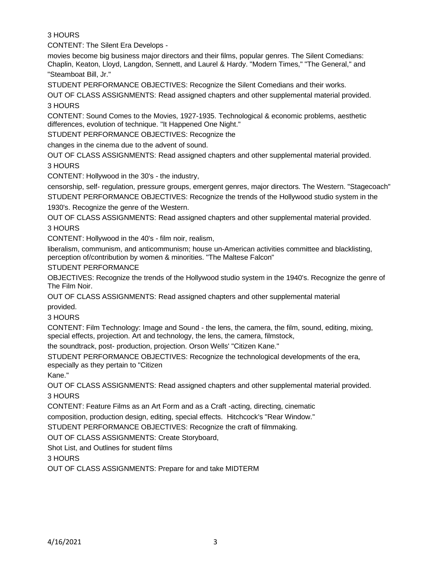# 3 HOURS

CONTENT: The Silent Era Develops -

movies become big business major directors and their films, popular genres. The Silent Comedians: Chaplin, Keaton, Lloyd, Langdon, Sennett, and Laurel & Hardy. "Modern Times," "The General," and "Steamboat Bill, Jr."

STUDENT PERFORMANCE OBJECTIVES: Recognize the Silent Comedians and their works.

OUT OF CLASS ASSIGNMENTS: Read assigned chapters and other supplemental material provided. 3 HOURS

CONTENT: Sound Comes to the Movies, 1927-1935. Technological & economic problems, aesthetic differences, evolution of technique. "It Happened One Night."

STUDENT PERFORMANCE OBJECTIVES: Recognize the

changes in the cinema due to the advent of sound.

OUT OF CLASS ASSIGNMENTS: Read assigned chapters and other supplemental material provided. 3 HOURS

CONTENT: Hollywood in the 30's - the industry,

censorship, self- regulation, pressure groups, emergent genres, major directors. The Western. "Stagecoach" STUDENT PERFORMANCE OBJECTIVES: Recognize the trends of the Hollywood studio system in the 1930's. Recognize the genre of the Western.

OUT OF CLASS ASSIGNMENTS: Read assigned chapters and other supplemental material provided. 3 HOURS

CONTENT: Hollywood in the 40's - film noir, realism,

liberalism, communism, and anticommunism; house un-American activities committee and blacklisting, perception of/contribution by women & minorities. "The Maltese Falcon"

STUDENT PERFORMANCE

OBJECTIVES: Recognize the trends of the Hollywood studio system in the 1940's. Recognize the genre of The Film Noir.

OUT OF CLASS ASSIGNMENTS: Read assigned chapters and other supplemental material

provided.

3 HOURS

CONTENT: Film Technology: Image and Sound - the lens, the camera, the film, sound, editing, mixing, special effects, projection. Art and technology, the lens, the camera, filmstock,

the soundtrack, post- production, projection. Orson Wells' "Citizen Kane."

STUDENT PERFORMANCE OBJECTIVES: Recognize the technological developments of the era, especially as they pertain to "Citizen

Kane."

OUT OF CLASS ASSIGNMENTS: Read assigned chapters and other supplemental material provided. 3 HOURS

CONTENT: Feature Films as an Art Form and as a Craft -acting, directing, cinematic

composition, production design, editing, special effects. Hitchcock's "Rear Window."

STUDENT PERFORMANCE OBJECTIVES: Recognize the craft of filmmaking.

OUT OF CLASS ASSIGNMENTS: Create Storyboard,

Shot List, and Outlines for student films

3 HOURS

OUT OF CLASS ASSIGNMENTS: Prepare for and take MIDTERM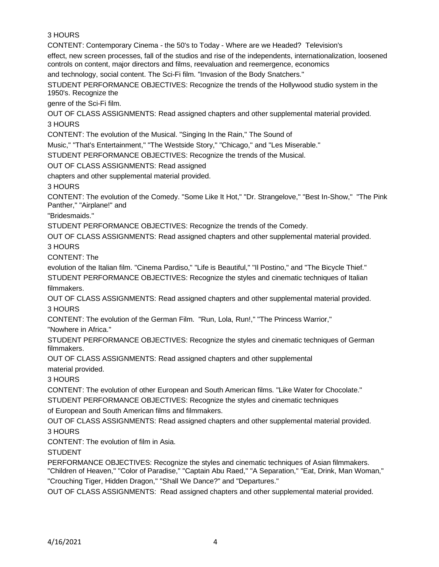# 3 HOURS

CONTENT: Contemporary Cinema - the 50's to Today - Where are we Headed? Television's

effect, new screen processes, fall of the studios and rise of the independents, internationalization, loosened controls on content, major directors and films, reevaluation and reemergence, economics

and technology, social content. The Sci-Fi film. "Invasion of the Body Snatchers."

STUDENT PERFORMANCE OBJECTIVES: Recognize the trends of the Hollywood studio system in the 1950's. Recognize the

genre of the Sci-Fi film.

OUT OF CLASS ASSIGNMENTS: Read assigned chapters and other supplemental material provided. 3 HOURS

CONTENT: The evolution of the Musical. "Singing In the Rain," The Sound of

Music," "That's Entertainment," "The Westside Story," "Chicago," and "Les Miserable."

STUDENT PERFORMANCE OBJECTIVES: Recognize the trends of the Musical.

OUT OF CLASS ASSIGNMENTS: Read assigned

chapters and other supplemental material provided.

3 HOURS

CONTENT: The evolution of the Comedy. "Some Like It Hot," "Dr. Strangelove," "Best In-Show," "The Pink Panther," "Airplane!" and

"Bridesmaids."

STUDENT PERFORMANCE OBJECTIVES: Recognize the trends of the Comedy.

OUT OF CLASS ASSIGNMENTS: Read assigned chapters and other supplemental material provided. 3 HOURS

CONTENT: The

evolution of the Italian film. "Cinema Pardiso," "Life is Beautiful," "Il Postino," and "The Bicycle Thief." STUDENT PERFORMANCE OBJECTIVES: Recognize the styles and cinematic techniques of Italian filmmakers.

OUT OF CLASS ASSIGNMENTS: Read assigned chapters and other supplemental material provided. 3 HOURS

CONTENT: The evolution of the German Film. "Run, Lola, Run!," "The Princess Warrior,"

"Nowhere in Africa."

STUDENT PERFORMANCE OBJECTIVES: Recognize the styles and cinematic techniques of German filmmakers.

OUT OF CLASS ASSIGNMENTS: Read assigned chapters and other supplemental

material provided.

3 HOURS

CONTENT: The evolution of other European and South American films. "Like Water for Chocolate." STUDENT PERFORMANCE OBJECTIVES: Recognize the styles and cinematic techniques

of European and South American films and filmmakers.

OUT OF CLASS ASSIGNMENTS: Read assigned chapters and other supplemental material provided. 3 HOURS

CONTENT: The evolution of film in Asia.

**STUDENT** 

PERFORMANCE OBJECTIVES: Recognize the styles and cinematic techniques of Asian filmmakers. "Children of Heaven," "Color of Paradise," "Captain Abu Raed," "A Separation," "Eat, Drink, Man Woman,"

"Crouching Tiger, Hidden Dragon," "Shall We Dance?" and "Departures."

OUT OF CLASS ASSIGNMENTS: Read assigned chapters and other supplemental material provided.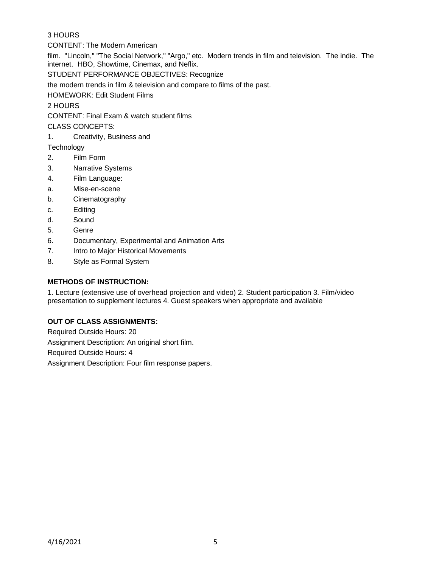# 3 HOURS

CONTENT: The Modern American

film. "Lincoln," "The Social Network," "Argo," etc. Modern trends in film and television. The indie. The internet. HBO, Showtime, Cinemax, and Neflix.

STUDENT PERFORMANCE OBJECTIVES: Recognize

the modern trends in film & television and compare to films of the past.

HOMEWORK: Edit Student Films

2 HOURS

CONTENT: Final Exam & watch student films

CLASS CONCEPTS:

1. Creativity, Business and

**Technology** 

- 2. Film Form
- 3. Narrative Systems
- 4. Film Language:
- a. Mise-en-scene
- b. Cinematography
- c. Editing
- d. Sound
- 5. Genre
- 6. Documentary, Experimental and Animation Arts
- 7. Intro to Major Historical Movements
- 8. Style as Formal System

# **METHODS OF INSTRUCTION:**

1. Lecture (extensive use of overhead projection and video) 2. Student participation 3. Film/video presentation to supplement lectures 4. Guest speakers when appropriate and available

#### **OUT OF CLASS ASSIGNMENTS:**

Required Outside Hours: 20 Assignment Description: An original short film. Required Outside Hours: 4 Assignment Description: Four film response papers.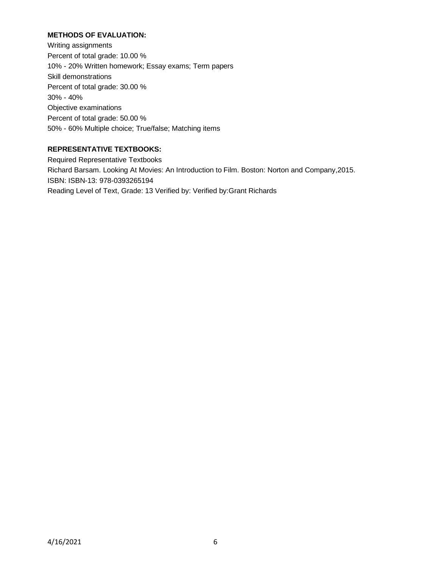# **METHODS OF EVALUATION:**

Writing assignments Percent of total grade: 10.00 % 10% - 20% Written homework; Essay exams; Term papers Skill demonstrations Percent of total grade: 30.00 % 30% - 40% Objective examinations Percent of total grade: 50.00 % 50% - 60% Multiple choice; True/false; Matching items

# **REPRESENTATIVE TEXTBOOKS:**

Required Representative Textbooks Richard Barsam. Looking At Movies: An Introduction to Film. Boston: Norton and Company,2015. ISBN: ISBN-13: 978-0393265194 Reading Level of Text, Grade: 13 Verified by: Verified by:Grant Richards